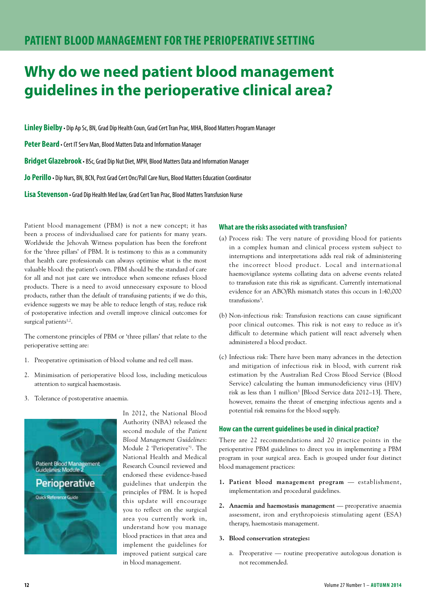### **Why do we need patient blood management guidelines in the perioperative clinical area?**

**Linley Bielby** • Dip Ap Sc, BN, Grad Dip Health Coun, Grad Cert Tran Prac, MHA, Blood Matters Program Manager

**Peter Beard** • Cert IT Serv Man, Blood Matters Data and Information Manager

**Bridget Glazebrook** • BSc, Grad Dip Nut Diet, MPH, Blood Matters Data and Information Manager

**Jo Perillo** • Dip Nurs, BN, BCN, Post Grad Cert Onc/Pall Care Nurs, Blood Matters Education Coordinator

**Lisa Stevenson** • Grad Dip Health Med law, Grad Cert Tran Prac, Blood Matters Transfusion Nurse

Patient blood management (PBM) is not a new concept; it has been a process of individualised care for patients for many years. Worldwide the Jehovah Witness population has been the forefront for the 'three pillars' of PBM. It is testimony to this as a community that health care professionals can always optimise what is the most valuable blood: the patient's own. PBM should be the standard of care for all and not just care we introduce when someone refuses blood products. There is a need to avoid unnecessary exposure to blood products, rather than the default of transfusing patients; if we do this, evidence suggests we may be able to reduce length of stay, reduce risk of postoperative infection and overall improve clinical outcomes for surgical patients<sup>1,2</sup>.

The cornerstone principles of PBM or 'three pillars' that relate to the perioperative setting are:

- 1. Preoperative optimisation of blood volume and red cell mass.
- 2. Minimisation of perioperative blood loss, including meticulous attention to surgical haemostasis.
- 3. Tolerance of postoperative anaemia.



In 2012, the National Blood Authority (NBA) released the second module of the *Patient Blood Management Guidelines*: Module 2 'Perioperative'1 . The National Health and Medical Research Council reviewed and endorsed these evidence-based guidelines that underpin the principles of PBM. It is hoped this update will encourage you to reflect on the surgical area you currently work in, understand how you manage blood practices in that area and implement the guidelines for improved patient surgical care in blood management.

#### **What are the risks associated with transfusion?**

- (a) Process risk: The very nature of providing blood for patients in a complex human and clinical process system subject to interruptions and interpretations adds real risk of administering the incorrect blood product. Local and international haemovigilance systems collating data on adverse events related to transfusion rate this risk as significant. Currently international evidence for an ABO/Rh mismatch states this occurs in 1:40,000 transfusions<sup>3</sup>.
- (b) Non-infectious risk: Transfusion reactions can cause significant poor clinical outcomes. This risk is not easy to reduce as it's difficult to determine which patient will react adversely when administered a blood product.
- (c) Infectious risk: There have been many advances in the detection and mitigation of infectious risk in blood, with current risk estimation by the Australian Red Cross Blood Service (Blood Service) calculating the human immunodeficiency virus (HIV) risk as less than 1 million<sup>3</sup> [Blood Service data 2012–13]. There, however, remains the threat of emerging infectious agents and a potential risk remains for the blood supply.

#### **How can the current guidelines be used in clinical practice?**

There are 22 recommendations and 20 practice points in the perioperative PBM guidelines to direct you in implementing a PBM program in your surgical area. Each is grouped under four distinct blood management practices:

- **1. Patient blood management program** establishment, implementation and procedural guidelines.
- **2. Anaemia and haemostasis management** preoperative anaemia assessment, iron and erythropoiesis stimulating agent (ESA) therapy, haemostasis management.

#### **3. Blood conservation strategies:**

a. Preoperative — routine preoperative autologous donation is not recommended.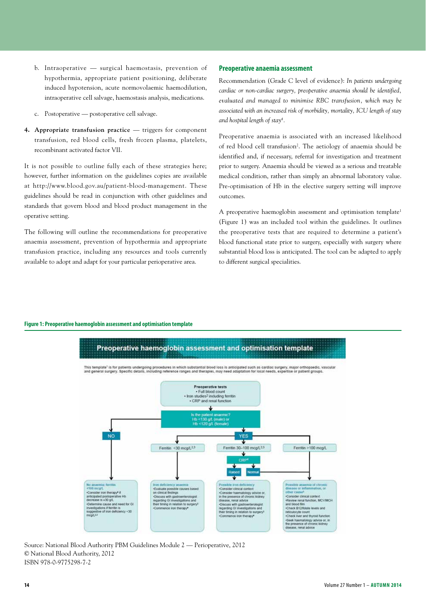- b. Intraoperative surgical haemostasis, prevention of hypothermia, appropriate patient positioning, deliberate induced hypotension, acute normovolaemic haemodilution, intraoperative cell salvage, haemostasis analysis, medications.
- c. Postoperative postoperative cell salvage.
- **4. Appropriate transfusion practice**  triggers for component transfusion, red blood cells, fresh frozen plasma, platelets, recombinant activated factor VII.

It is not possible to outline fully each of these strategies here; however, further information on the guidelines copies are available at http://www.blood.gov.au/patient-blood-management. These guidelines should be read in conjunction with other guidelines and standards that govern blood and blood product management in the operative setting.

The following will outline the recommendations for preoperative anaemia assessment, prevention of hypothermia and appropriate transfusion practice, including any resources and tools currently available to adopt and adapt for your particular perioperative area.

#### **Preoperative anaemia assessment**

Recommendation (Grade C level of evidence): *In patients undergoing cardiac or non-cardiac surgery, preoperative anaemia should be identified, evaluated and managed to minimise RBC transfusion, which may be associated with an increased risk of morbidity, mortality, ICU length of stay and hospital length of stay4 .*

Preoperative anaemia is associated with an increased likelihood of red blood cell transfusion<sup>2</sup>. The aetiology of anaemia should be identified and, if necessary, referral for investigation and treatment prior to surgery. Anaemia should be viewed as a serious and treatable medical condition, rather than simply an abnormal laboratory value. Pre-optimisation of Hb in the elective surgery setting will improve outcomes.

A preoperative haemoglobin assessment and optimisation template<sup>1</sup> (Figure 1) was an included tool within the guidelines. It outlines the preoperative tests that are required to determine a patient's blood functional state prior to surgery, especially with surgery where substantial blood loss is anticipated. The tool can be adapted to apply to different surgical specialities.

#### **Figure 1: Preoperative haemoglobin assessment and optimisation template**



Source: National Blood Authority PBM Guidelines Module 2 — Perioperative, 2012 © National Blood Authority, 2012 ISBN 978-0-9775298-7-2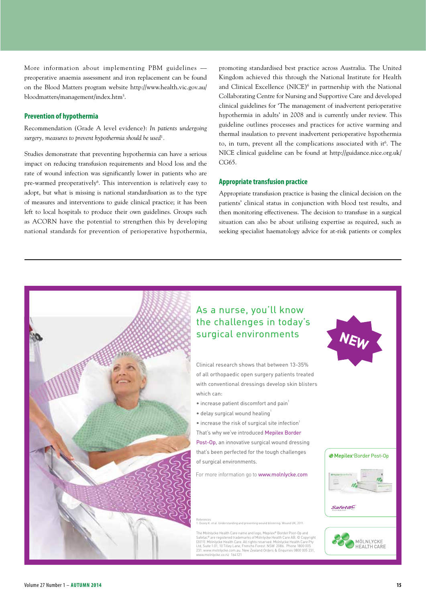More information about implementing PBM guidelines preoperative anaemia assessment and iron replacement can be found on the Blood Matters program website http://www.health.vic.gov.au/ bloodmatters/management/index.htm<sup>5</sup>.

#### **Prevention of hypothermia**

Recommendation (Grade A level evidence): *In patients undergoing surgery, measures to prevent hypothermia should be used*<sup>1</sup> *.*

Studies demonstrate that preventing hypothermia can have a serious impact on reducing transfusion requirements and blood loss and the rate of wound infection was significantly lower in patients who are pre-warmed preoperatively<sup>6</sup>. This intervention is relatively easy to adopt, but what is missing is national standardisation as to the type of measures and interventions to guide clinical practice; it has been left to local hospitals to produce their own guidelines. Groups such as ACORN have the potential to strengthen this by developing national standards for prevention of perioperative hypothermia,

promoting standardised best practice across Australia. The United Kingdom achieved this through the National Institute for Health and Clinical Excellence (NICE)<sup>6</sup> in partnership with the National Collaborating Centre for Nursing and Supportive Care and developed clinical guidelines for 'The management of inadvertent perioperative hypothermia in adults' in 2008 and is currently under review. This guideline outlines processes and practices for active warming and thermal insulation to prevent inadvertent perioperative hypothermia to, in turn, prevent all the complications associated with it<sup>6</sup>. The NICE clinical guideline can be found at http://guidance.nice.org.uk/ CG65.

#### **Appropriate transfusion practice**

Appropriate transfusion practice is basing the clinical decision on the patients' clinical status in conjunction with blood test results, and then monitoring effectiveness. The decision to transfuse in a surgical situation can also be about utilising expertise as required, such as seeking specialist haematology advice for at-risk patients or complex

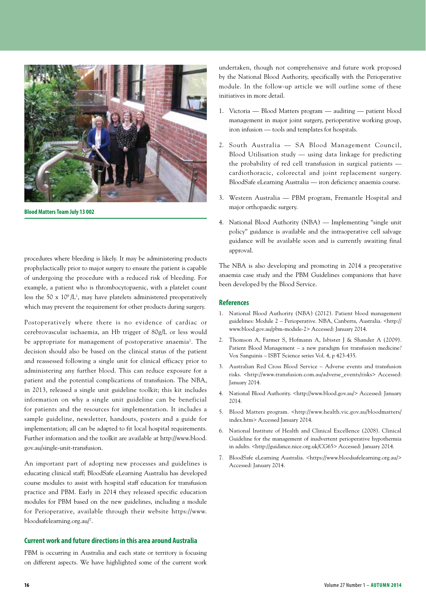

**Blood Matters Team July 13 002**

procedures where bleeding is likely. It may be administering products prophylactically prior to major surgery to ensure the patient is capable of undergoing the procedure with a reduced risk of bleeding. For example, a patient who is thrombocytopaenic, with a platelet count less the 50 x  $10^9/L^1$ , may have platelets administered preoperatively which may prevent the requirement for other products during surgery.

Postoperatively where there is no evidence of cardiac or cerebrovascular ischaemia, an Hb trigger of 80g/L or less would be appropriate for management of postoperative anaemia<sup>1</sup>. The decision should also be based on the clinical status of the patient and reassessed following a single unit for clinical efficacy prior to administering any further blood. This can reduce exposure for a patient and the potential complications of transfusion. The NBA, in 2013, released a single unit guideline toolkit; this kit includes information on why a single unit guideline can be beneficial for patients and the resources for implementation. It includes a sample guideline, newsletter, handouts, posters and a guide for implementation; all can be adapted to fit local hospital requirements. Further information and the toolkit are available at http://www.blood. gov.au/single-unit-transfusion.

An important part of adopting new processes and guidelines is educating clinical staff; BloodSafe eLearning Australia has developed course modules to assist with hospital staff education for transfusion practice and PBM. Early in 2014 they released specific education modules for PBM based on the new guidelines, including a module for Perioperative, available through their website https://www. bloodsafelearning.org.au/7 .

#### **Current work and future directions in this area around Australia**

PBM is occurring in Australia and each state or territory is focusing on different aspects. We have highlighted some of the current work undertaken, though not comprehensive and future work proposed by the National Blood Authority, specifically with the Perioperative module. In the follow-up article we will outline some of these initiatives in more detail.

- 1. Victoria Blood Matters program auditing patient blood management in major joint surgery, perioperative working group, iron infusion — tools and templates for hospitals.
- 2. South Australia SA Blood Management Council, Blood Utilisation study — using data linkage for predicting the probability of red cell transfusion in surgical patients cardiothoracic, colorectal and joint replacement surgery. BloodSafe eLearning Australia — iron deficiency anaemia course.
- 3. Western Australia PBM program, Fremantle Hospital and major orthopaedic surgery.
- 4. National Blood Authority (NBA) Implementing "single unit policy" guidance is available and the intraoperative cell salvage guidance will be available soon and is currently awaiting final approval.

The NBA is also developing and promoting in 2014 a preoperative anaemia case study and the PBM Guidelines companions that have been developed by the Blood Service.

#### **References**

- 1. National Blood Authority (NBA) (2012). Patient blood management guidelines: Module 2 – Perioperative. NBA, Canberra, Australia. <http:// www.blood.gov.au/pbm-module-2> Accessed: January 2014.
- 2. Thomson A, Farmer S, Hofmann A, Isbister J & Shander A (2009). Patient Blood Management – a new paradigm for transfusion medicine? Vox Sanguinis – ISBT Science series Vol. 4, p 423-435.
- 3. Australian Red Cross Blood Service Adverse events and transfusion risks. <http://www.transfusion.com.au/adverse\_events/risks> Accessed: January 2014.
- 4. National Blood Authority. <http://www.blood.gov.au/> Accessed: January 2014.
- 5. Blood Matters program. <http://www.health.vic.gov.au/bloodmatters/ index.htm> Accessed January 2014.
- 6. National Institute of Health and Clinical Excellence (2008). Clinical Guideline for the management of inadvertent perioperative hypothermia in adults. <http://guidance.nice.org.uk/CG65> Accessed: January 2014.
- 7. BloodSafe eLearning Australia. <https://www.bloodsafelearning.org.au/> Accessed: January 2014.